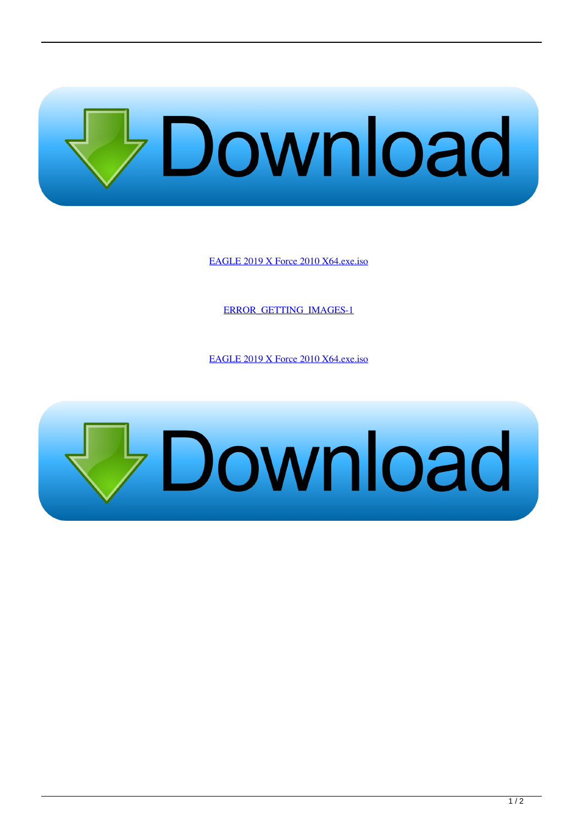

[EAGLE 2019 X Force 2010 X64.exe.iso](http://geags.com/183kxv)

[ERROR\\_GETTING\\_IMAGES-1](http://geags.com/183kxv)

[EAGLE 2019 X Force 2010 X64.exe.iso](http://geags.com/183kxv)